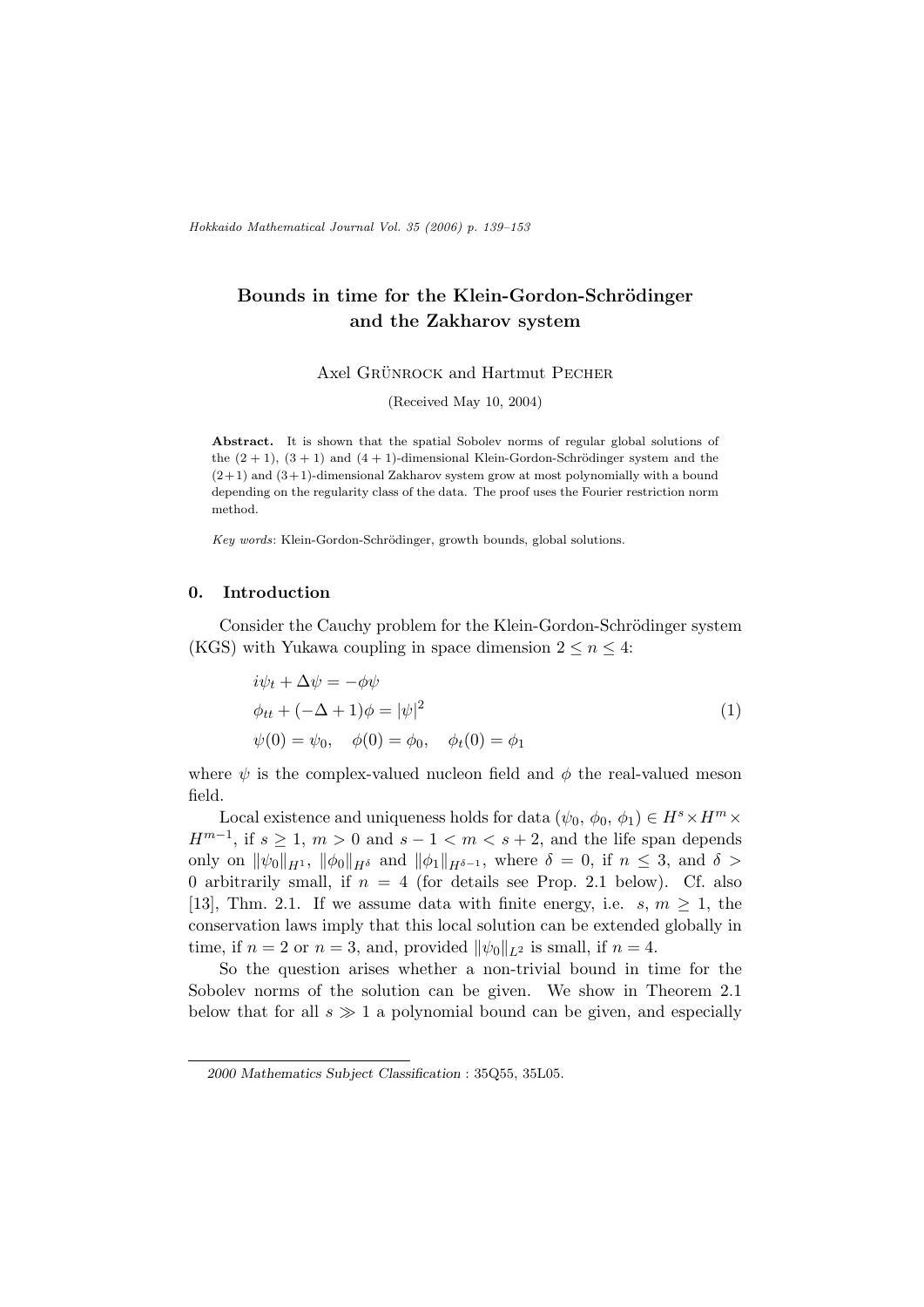Hokkaido Mathematical Journal Vol. 35 (2006) p. 139–153

# Bounds in time for the Klein-Gordon-Schrödinger and the Zakharov system

Axel GRÜNROCK and Hartmut PECHER

(Received May 10, 2004)

Abstract. It is shown that the spatial Sobolev norms of regular global solutions of the  $(2 + 1)$ ,  $(3 + 1)$  and  $(4 + 1)$ -dimensional Klein-Gordon-Schrödinger system and the  $(2+1)$  and  $(3+1)$ -dimensional Zakharov system grow at most polynomially with a bound depending on the regularity class of the data. The proof uses the Fourier restriction norm method.

Key words: Klein-Gordon-Schrödinger, growth bounds, global solutions.

### 0. Introduction

Consider the Cauchy problem for the Klein-Gordon-Schrödinger system (KGS) with Yukawa coupling in space dimension  $2 \le n \le 4$ :

$$
i\psi_t + \Delta \psi = -\phi \psi
$$
  
\n
$$
\phi_{tt} + (-\Delta + 1)\phi = |\psi|^2
$$
  
\n
$$
\psi(0) = \psi_0, \quad \phi(0) = \phi_0, \quad \phi_t(0) = \phi_1
$$
\n(1)

where  $\psi$  is the complex-valued nucleon field and  $\phi$  the real-valued meson field.

Local existence and uniqueness holds for data  $(\psi_0, \phi_0, \phi_1) \in H^s \times H^m \times$  $H^{m-1}$ , if  $s \geq 1$ ,  $m > 0$  and  $s - 1 < m < s + 2$ , and the life span depends only on  $\|\psi_0\|_{H^1}$ ,  $\|\phi_0\|_{H^{\delta}}$  and  $\|\phi_1\|_{H^{\delta-1}}$ , where  $\delta = 0$ , if  $n \leq 3$ , and  $\delta >$ 0 arbitrarily small, if  $n = 4$  (for details see Prop. 2.1 below). Cf. also [13], Thm. 2.1. If we assume data with finite energy, i.e.  $s, m \geq 1$ , the conservation laws imply that this local solution can be extended globally in time, if  $n = 2$  or  $n = 3$ , and, provided  $\|\psi_0\|_{L^2}$  is small, if  $n = 4$ .

So the question arises whether a non-trivial bound in time for the Sobolev norms of the solution can be given. We show in Theorem 2.1 below that for all  $s \gg 1$  a polynomial bound can be given, and especially

<sup>2000</sup> Mathematics Subject Classification : 35Q55, 35L05.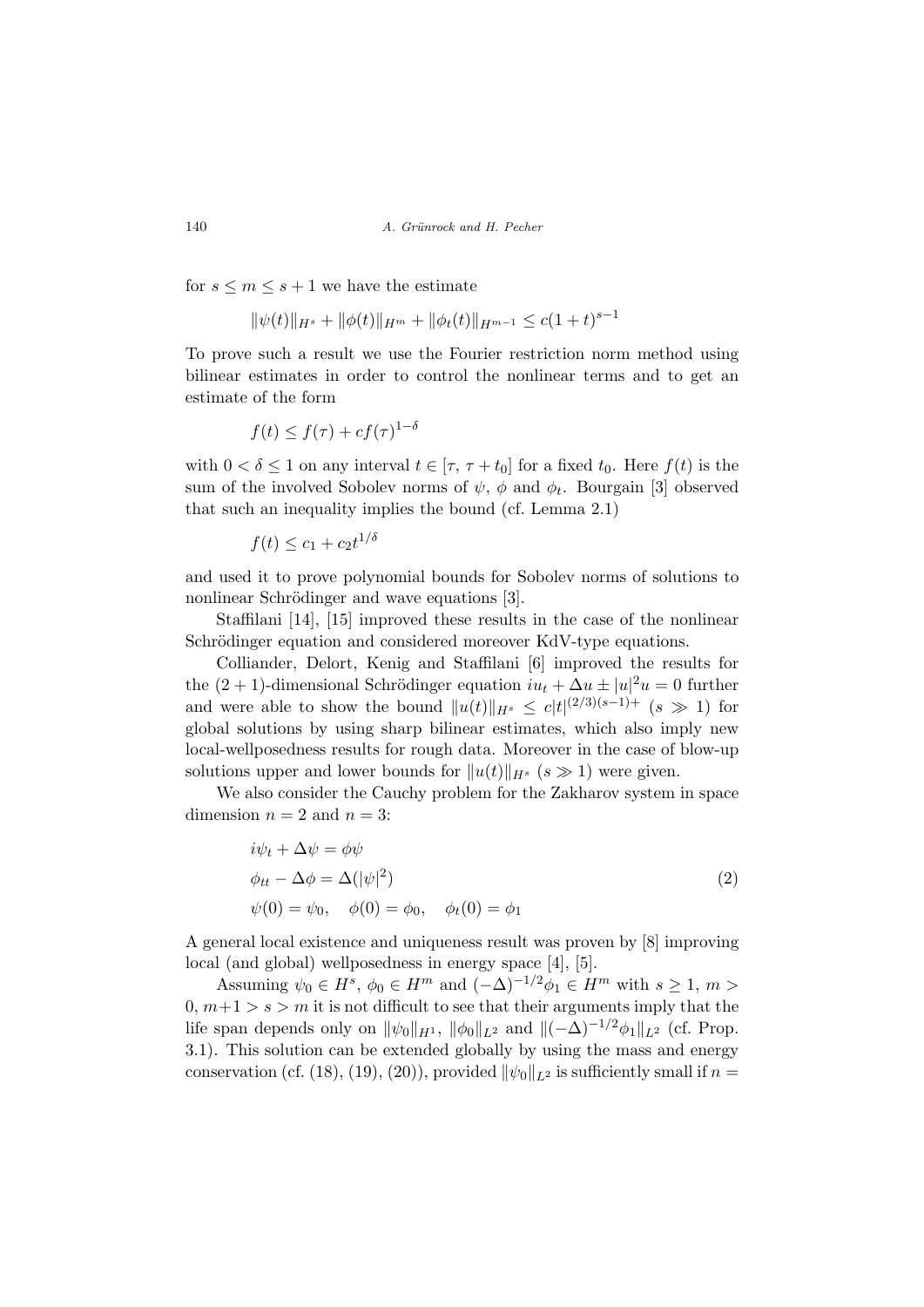for  $s \leq m \leq s+1$  we have the estimate

$$
\|\psi(t)\|_{H^s} + \|\phi(t)\|_{H^m} + \|\phi_t(t)\|_{H^{m-1}} \le c(1+t)^{s-1}
$$

To prove such a result we use the Fourier restriction norm method using bilinear estimates in order to control the nonlinear terms and to get an estimate of the form

$$
f(t) \le f(\tau) + cf(\tau)^{1-\delta}
$$

with  $0 < \delta \leq 1$  on any interval  $t \in [\tau, \tau + t_0]$  for a fixed  $t_0$ . Here  $f(t)$  is the sum of the involved Sobolev norms of  $\psi$ ,  $\phi$  and  $\phi_t$ . Bourgain [3] observed that such an inequality implies the bound (cf. Lemma 2.1)

$$
f(t) \le c_1 + c_2 t^{1/\delta}
$$

and used it to prove polynomial bounds for Sobolev norms of solutions to nonlinear Schrödinger and wave equations [3].

Staffilani [14], [15] improved these results in the case of the nonlinear Schrödinger equation and considered moreover KdV-type equations.

Colliander, Delort, Kenig and Staffilani [6] improved the results for the  $(2 + 1)$ -dimensional Schrödinger equation  $iu_t + \Delta u \pm |u|^2 u = 0$  further and were able to show the bound  $||u(t)||_{H^{s}} \leq c|t|^{(2/3)(s-1)+}$  ( $s \gg 1$ ) for global solutions by using sharp bilinear estimates, which also imply new local-wellposedness results for rough data. Moreover in the case of blow-up solutions upper and lower bounds for  $||u(t)||_{H^{s}}$   $(s \gg 1)$  were given.

We also consider the Cauchy problem for the Zakharov system in space dimension  $n = 2$  and  $n = 3$ :

$$
i\psi_t + \Delta \psi = \phi \psi
$$
  
\n
$$
\phi_{tt} - \Delta \phi = \Delta (|\psi|^2)
$$
  
\n
$$
\psi(0) = \psi_0, \quad \phi(0) = \phi_0, \quad \phi_t(0) = \phi_1
$$
\n(2)

A general local existence and uniqueness result was proven by [8] improving local (and global) wellposedness in energy space [4], [5].

Assuming  $\psi_0 \in H^s$ ,  $\phi_0 \in H^m$  and  $(-\Delta)^{-1/2} \phi_1 \in H^m$  with  $s \geq 1$ ,  $m >$  $0, m+1 > s > m$  it is not difficult to see that their arguments imply that the life span depends only on  $\|\psi_0\|_{H^1}$ ,  $\|\phi_0\|_{L^2}$  and  $\|(-\Delta)^{-1/2}\phi_1\|_{L^2}$  (cf. Prop. 3.1). This solution can be extended globally by using the mass and energy conservation (cf. (18), (19), (20)), provided  $\|\psi_0\|_{L^2}$  is sufficiently small if  $n =$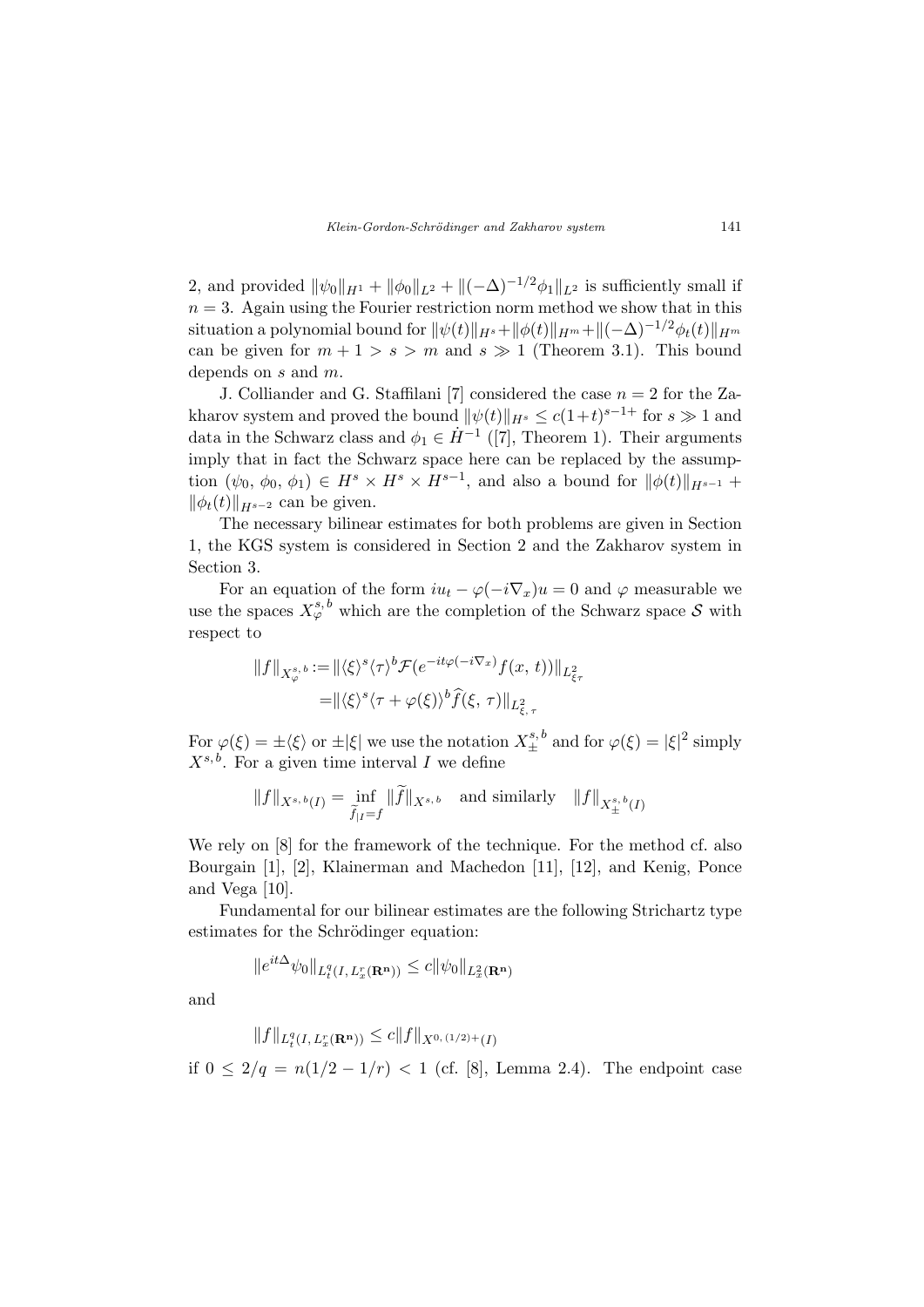2, and provided  $\|\psi_0\|_{H^1} + \|\phi_0\|_{L^2} + \|(-\Delta)^{-1/2}\phi_1\|_{L^2}$  is sufficiently small if  $n = 3$ . Again using the Fourier restriction norm method we show that in this situation a polynomial bound for  $\|\psi(t)\|_{H^s}+\|\phi(t)\|_{H^m}+\|(-\Delta)^{-1/2}\phi_t(t)\|_{H^m}$ can be given for  $m + 1 > s > m$  and  $s \gg 1$  (Theorem 3.1). This bound depends on s and m.

J. Colliander and G. Staffilani [7] considered the case  $n = 2$  for the Zakharov system and proved the bound  $\|\psi(t)\|_{H^s} \le c(1+t)^{s-1+}$  for  $s \gg 1$  and data in the Schwarz class and  $\phi_1 \in \dot{H}^{-1}$  ([7], Theorem 1). Their arguments imply that in fact the Schwarz space here can be replaced by the assumption  $(\psi_0, \phi_0, \phi_1) \in H^s \times H^s \times H^{s-1}$ , and also a bound for  $\|\phi(t)\|_{H^{s-1}}$  +  $\|\phi_t(t)\|_{H^{s-2}}$  can be given.

The necessary bilinear estimates for both problems are given in Section 1, the KGS system is considered in Section 2 and the Zakharov system in Section 3.

For an equation of the form  $iu_t - \varphi(-i\nabla_x)u = 0$  and  $\varphi$  measurable we use the spaces  $X_{\varphi}^{s,b}$  which are the completion of the Schwarz space S with respect to

$$
||f||_{X^{s,b}_{\varphi}} := ||\langle \xi \rangle^{s} \langle \tau \rangle^{b} \mathcal{F}(e^{-it\varphi(-i\nabla_x)} f(x, t))||_{L^2_{\xi_{\tau}}}
$$
  
=  $||\langle \xi \rangle^{s} \langle \tau + \varphi(\xi) \rangle^{b} \widehat{f}(\xi, \tau)||_{L^2_{\xi, \tau}}$ 

For  $\varphi(\xi) = \pm \langle \xi \rangle$  or  $\pm |\xi|$  we use the notation  $X_{\pm}^{s,b}$  and for  $\varphi(\xi) = |\xi|^2$  simply  $X^{s,b}$ . For a given time interval I we define

$$
||f||_{X^{s,b}(I)} = \inf_{\widetilde{f}|_I = f} ||\widetilde{f}||_{X^{s,b}} \text{ and similarly } ||f||_{X^{s,b}_{\pm}(I)}
$$

We rely on [8] for the framework of the technique. For the method cf. also Bourgain [1], [2], Klainerman and Machedon [11], [12], and Kenig, Ponce and Vega [10].

Fundamental for our bilinear estimates are the following Strichartz type estimates for the Schrödinger equation:

$$
\|e^{it\Delta}\psi_0\|_{L_t^q(I,L_x^r(\mathbf{R^n}))}\leq c\|\psi_0\|_{L_x^2(\mathbf{R^n})}
$$

and

$$
||f||_{L_t^q(I, L_x^r(\mathbf{R}^n))} \leq c||f||_{X^{0, (1/2)+}(I)}
$$

if  $0 \leq 2/q = n(1/2 - 1/r)$  < 1 (cf. [8], Lemma 2.4). The endpoint case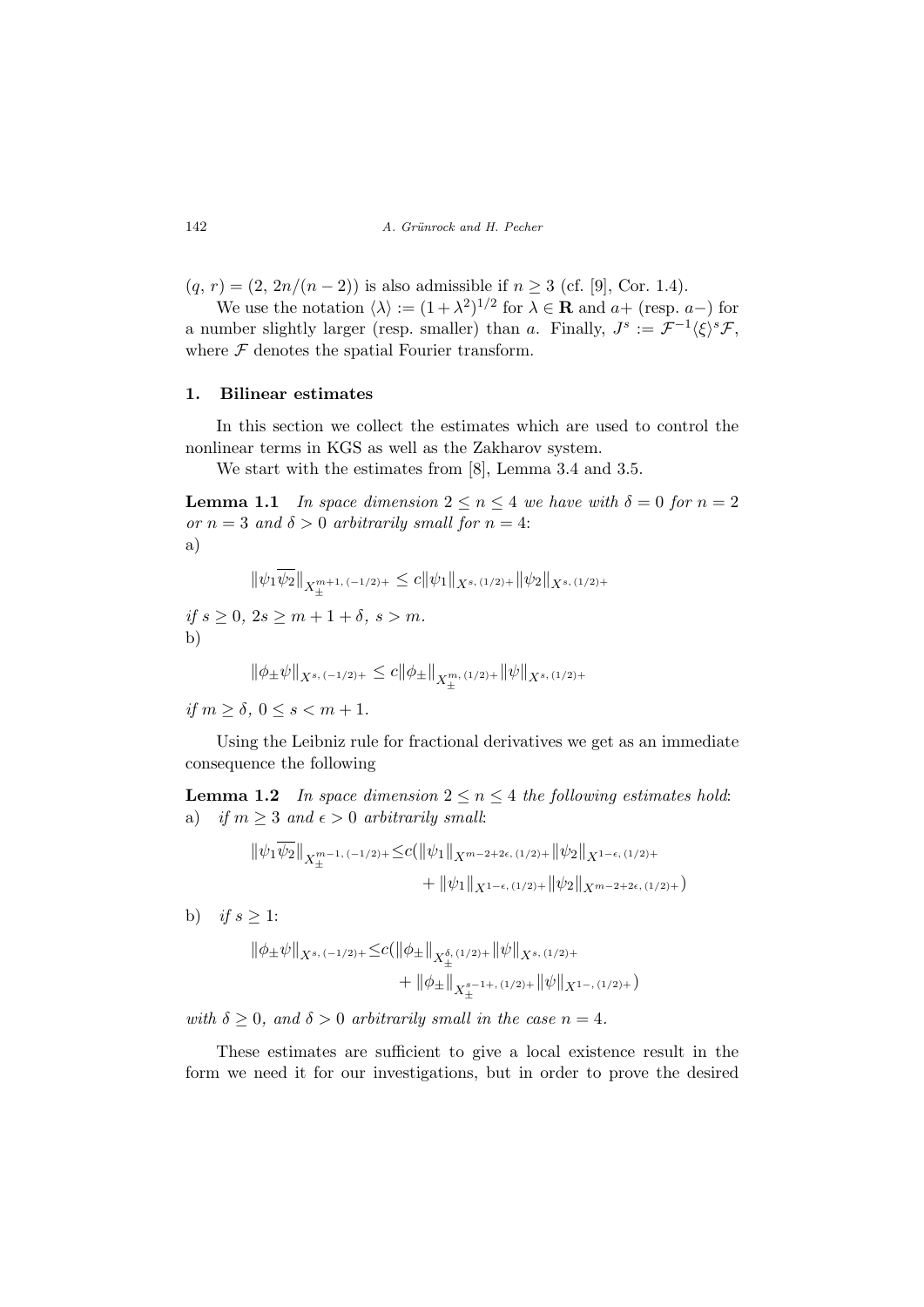$(q, r) = (2, 2n/(n-2))$  is also admissible if  $n \ge 3$  (cf. [9], Cor. 1.4).

We use the notation  $\langle \lambda \rangle := (1 + \lambda^2)^{1/2}$  for  $\lambda \in \mathbf{R}$  and  $a+$  (resp.  $a-$ ) for a number slightly larger (resp. smaller) than a. Finally,  $J^s := \mathcal{F}^{-1} \langle \xi \rangle^s \mathcal{F}$ , where  $\mathcal F$  denotes the spatial Fourier transform.

### 1. Bilinear estimates

In this section we collect the estimates which are used to control the nonlinear terms in KGS as well as the Zakharov system.

We start with the estimates from [8], Lemma 3.4 and 3.5.

**Lemma 1.1** In space dimension  $2 \le n \le 4$  we have with  $\delta = 0$  for  $n = 2$ or  $n = 3$  and  $\delta > 0$  arbitrarily small for  $n = 4$ : a)

$$
\|\psi_1\overline{\psi_2}\|_{X_{\pm}^{m+1, (-1/2)+}} \leq c \|\psi_1\|_{X^{s,(1/2)+}} \|\psi_2\|_{X^{s,(1/2)+}}
$$

if  $s \geq 0$ ,  $2s \geq m+1+\delta$ ,  $s > m$ . b)

$$
\|\phi_{\pm}\psi\|_{X^{s, (-1/2)+}} \leq c \|\phi_{\pm}\|_{X_{\pm}^{m, (1/2)+}} \|\psi\|_{X^{s, (1/2)+}}
$$

if  $m > \delta$ ,  $0 \le s \le m + 1$ .

Using the Leibniz rule for fractional derivatives we get as an immediate consequence the following

**Lemma 1.2** In space dimension  $2 \le n \le 4$  the following estimates hold: a) if  $m \geq 3$  and  $\epsilon > 0$  arbitrarily small:

$$
\|\psi_1\psi_2\|_{X^{m-1, (-1/2)+}_{\pm}} \leq c (\|\psi_1\|_{X^{m-2+2\epsilon, (1/2)+}} \|\psi_2\|_{X^{1-\epsilon, (1/2)+}} + \|\psi_1\|_{X^{1-\epsilon, (1/2)+}} \|\psi_2\|_{X^{m-2+2\epsilon, (1/2)+}})
$$

b) if  $s \geq 1$ :

$$
\|\phi_{\pm}\psi\|_{X^{s, (-1/2)+}} \leq c (\|\phi_{\pm}\|_{X^{{\delta, (1/2)+}_{\pm}}} \|\psi\|_{X^{s, (1/2)+}} + \|\phi_{\pm}\|_{X^{s-1+,(1/2)+}_{\pm}} \|\psi\|_{X^{1-,(1/2)+}})
$$

with  $\delta \geq 0$ , and  $\delta > 0$  arbitrarily small in the case  $n = 4$ .

These estimates are sufficient to give a local existence result in the form we need it for our investigations, but in order to prove the desired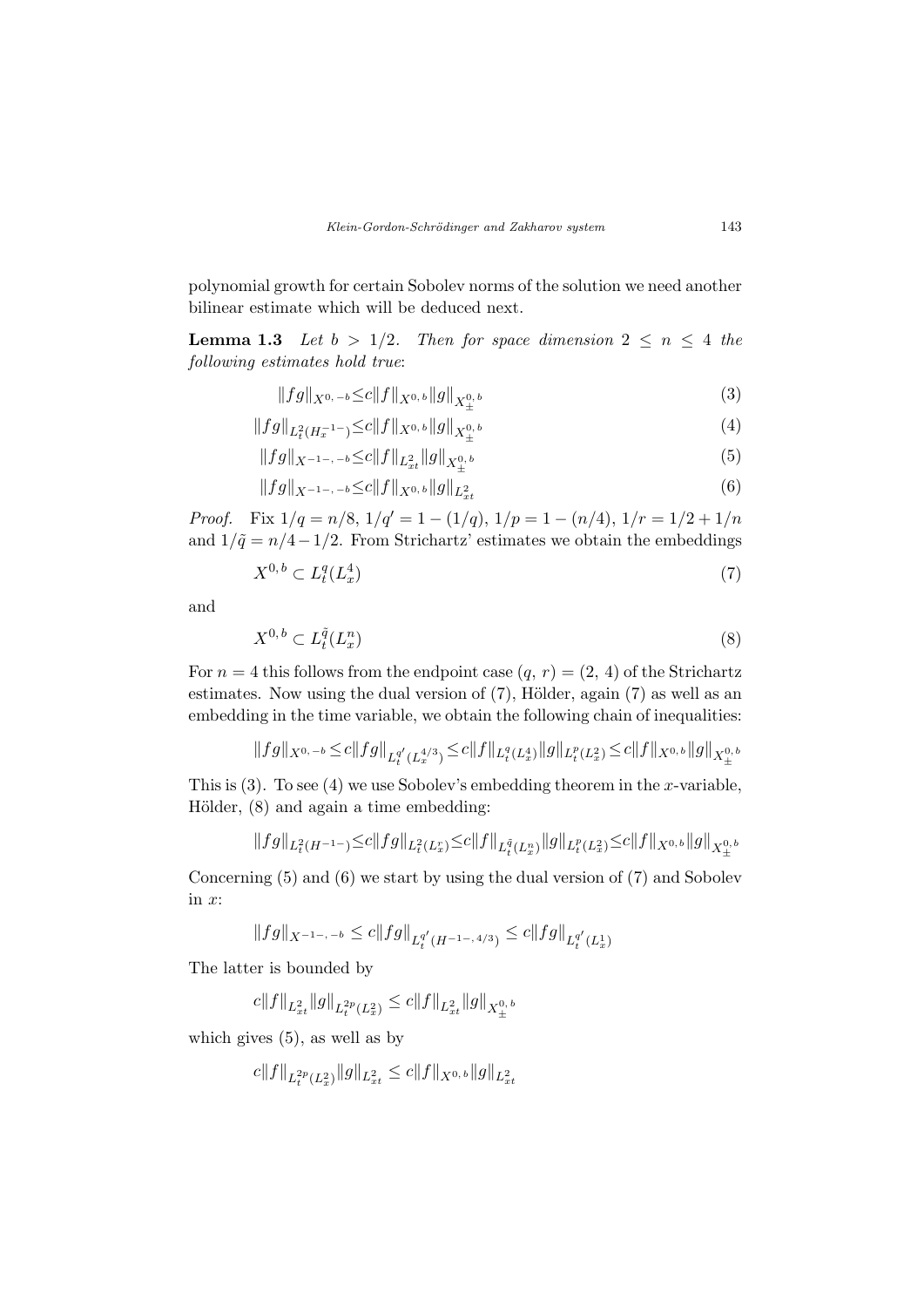polynomial growth for certain Sobolev norms of the solution we need another bilinear estimate which will be deduced next.

**Lemma 1.3** Let  $b > 1/2$ . Then for space dimension  $2 \leq n \leq 4$  the following estimates hold true:

$$
||fg||_{X^{0,-b}} \leq c||f||_{X^{0,b}}||g||_{X^{0,b}_{\pm}} \tag{3}
$$

$$
||fg||_{L^{2}_{t}(H^{-1}_{x})} \leq c||f||_{X^{0,b}}||g||_{X^{0,b}_{\pm}} \tag{4}
$$

$$
||fg||_{X^{-1-,-b}} \leq c||f||_{L_{xt}^2} ||g||_{X_{\pm}^{0,b}} \tag{5}
$$

$$
||fg||_{X^{-1-,-b}} \leq c||f||_{X^{0,b}}||g||_{L_{xt}^2}
$$
\n
$$
(6)
$$

*Proof.* Fix  $1/q = n/8$ ,  $1/q' = 1 - (1/q)$ ,  $1/p = 1 - (n/4)$ ,  $1/r = 1/2 + 1/n$ and  $1/\tilde{q} = n/4-1/2$ . From Strichartz' estimates we obtain the embeddings

$$
X^{0,b} \subset L_t^q(L_x^4) \tag{7}
$$

and

$$
X^{0,b} \subset L_t^{\tilde{q}}(L_x^n) \tag{8}
$$

For  $n = 4$  this follows from the endpoint case  $(q, r) = (2, 4)$  of the Strichartz estimates. Now using the dual version of  $(7)$ , Hölder, again  $(7)$  as well as an embedding in the time variable, we obtain the following chain of inequalities:

$$
\|fg\|_{X^{0,-b}}\!\le\! c\|fg\|_{L_t^{q'}(L_x^{4/3})}\!\le\! c\|f\|_{L_t^{q}(L_x^4)}\|g\|_{L_t^{p}(L_x^2)}\!\le\! c\|f\|_{X^{0,b}}\|g\|_{X^{0,b}_\pm}
$$

This is  $(3)$ . To see  $(4)$  we use Sobolev's embedding theorem in the x-variable, Hölder,  $(8)$  and again a time embedding:

$$
\|fg\|_{L^2_t(H^{-1-})}\leq c\|fg\|_{L^2_t(L^r_x)}\leq c\|f\|_{L^{\tilde{q}}_t(L^n_x)}\|g\|_{L^p_t(L^2_x)}\leq c\|f\|_{X^{0,b}}\|g\|_{X^{0,b}_\pm}
$$

Concerning (5) and (6) we start by using the dual version of (7) and Sobolev in  $x$ :

$$
||fg||_{X^{-1-,-b}} \le c||fg||_{L_t^{q'}(H^{-1-,4/3})} \le c||fg||_{L_t^{q'}(L_x^1)}
$$

The latter is bounded by

 $c \|f\|_{L^2_{xt}} \|g\|_{L^{2p}_t(L^2_x)} \leq c \|f\|_{L^2_{xt}} \|g\|_{X^{0,\,b}_\pm}$ 

which gives (5), as well as by

$$
c||f||_{L^{2p}_t(L^2_x)}||g||_{L^2_{xt}} \leq c||f||_{X^{0,b}}||g||_{L^2_{xt}}
$$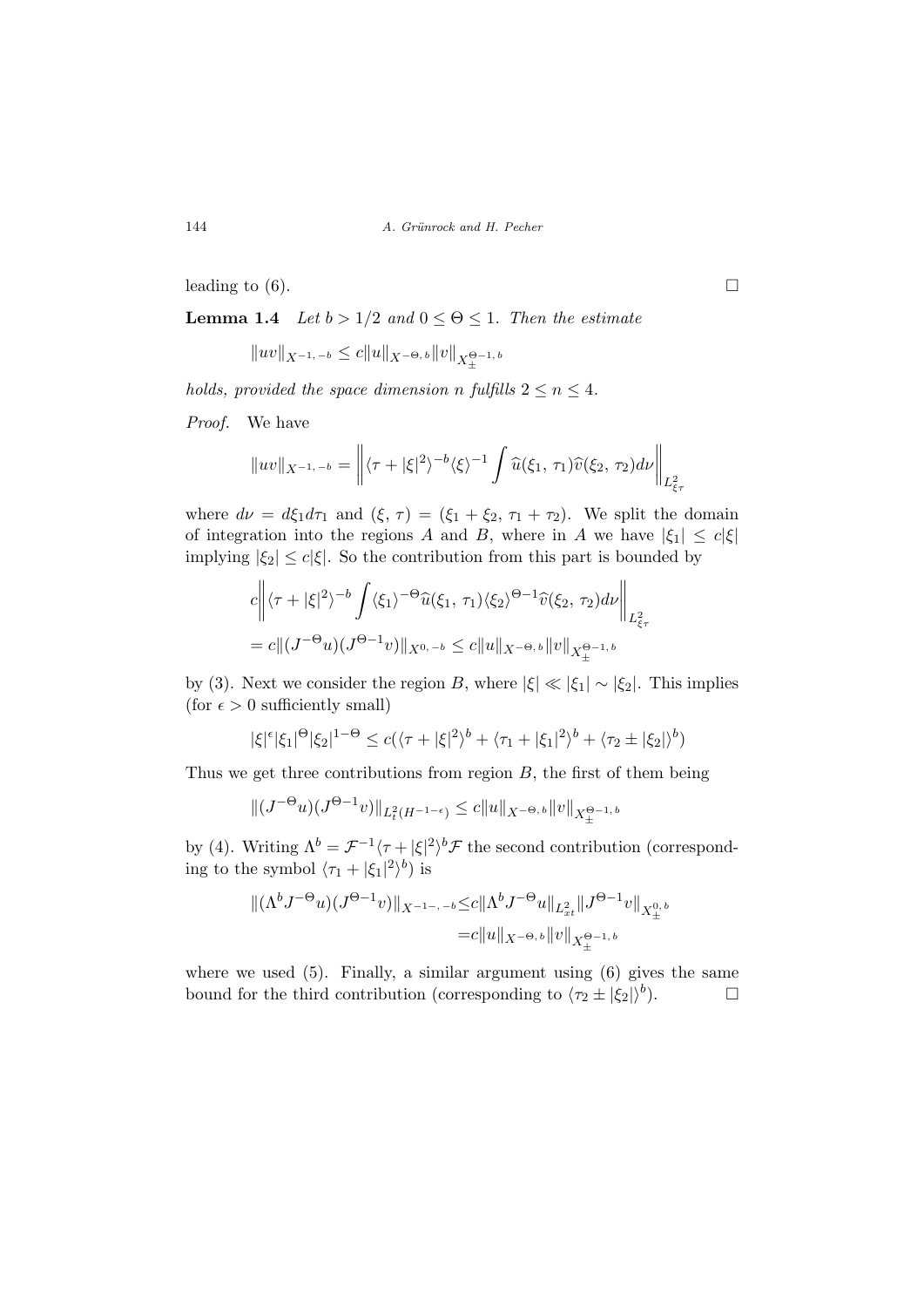leading to (6).  $\Box$ 

**Lemma 1.4** Let  $b > 1/2$  and  $0 \le \Theta \le 1$ . Then the estimate

$$
\|uv\|_{X^{-1, -b}}\leq c\|u\|_{X^{-\Theta, b}}\|v\|_{X_{\pm}^{\Theta^{-1, b}}}
$$

holds, provided the space dimension n fulfills  $2 \leq n \leq 4$ .

Proof. We have

$$
||uv||_{X^{-1,-b}} = \left\| \langle \tau + |\xi|^2 \rangle^{-b} \langle \xi \rangle^{-1} \int \widehat{u}(\xi_1, \tau_1) \widehat{v}(\xi_2, \tau_2) d\nu \right\|_{L^2_{\xi_\tau}}
$$

where  $d\nu = d\xi_1 d\tau_1$  and  $(\xi, \tau) = (\xi_1 + \xi_2, \tau_1 + \tau_2)$ . We split the domain of integration into the regions A and B, where in A we have  $|\xi_1| \leq c|\xi|$ implying  $|\xi_2| \leq c|\xi|$ . So the contribution from this part is bounded by

$$
c \left\| \langle \tau + |\xi|^2 \rangle^{-b} \int \langle \xi_1 \rangle^{-\Theta} \widehat{u}(\xi_1, \tau_1) \langle \xi_2 \rangle^{\Theta - 1} \widehat{v}(\xi_2, \tau_2) d\nu \right\|_{L^2_{\xi \tau}} = c \|(J^{-\Theta}u)(J^{\Theta - 1}v)\|_{X^{0, -b}} \le c \|u\|_{X^{-\Theta, b}} \|v\|_{X_{\pm}^{\Theta - 1, b}}
$$

by (3). Next we consider the region B, where  $|\xi| \ll |\xi_1| \sim |\xi_2|$ . This implies (for  $\epsilon > 0$  sufficiently small)

$$
|\xi|^{\epsilon}|\xi_1|^{\Theta}|\xi_2|^{1-\Theta} \le c(\langle \tau + |\xi|^2 \rangle^b + \langle \tau_1 + |\xi_1|^2 \rangle^b + \langle \tau_2 \pm |\xi_2| \rangle^b)
$$

Thus we get three contributions from region  $B$ , the first of them being

$$
||(J^{-\Theta}u)(J^{\Theta-1}v)||_{L^2_t(H^{-1-\epsilon})} \leq c||u||_{X^{-\Theta,b}}||v||_{X^{0-1,b}_\pm}
$$

by (4). Writing  $\Lambda^b = \mathcal{F}^{-1}\langle \tau + |\xi|^2 \rangle^b \mathcal{F}$  the second contribution (corresponding to the symbol  $\langle \tau_1 + |\xi_1|^2 \rangle^b$  is

$$
\begin{aligned} \| (\Lambda^b J^{-\Theta} u)(J^{\Theta - 1} v) \|_{X^{-1-,-b}} \leq & c \| \Lambda^b J^{-\Theta} u \|_{L^2_{xt}} \| J^{\Theta - 1} v \|_{X^{0,b}_\pm} \\ = & c \| u \|_{X^{-\Theta, b}} \| v \|_{X^{ \Theta - 1, b}_\pm} \end{aligned}
$$

where we used  $(5)$ . Finally, a similar argument using  $(6)$  gives the same bound for the third contribution (corresponding to  $\langle \tau_2 \pm |\xi_2| \rangle^b$ ).  $\Box$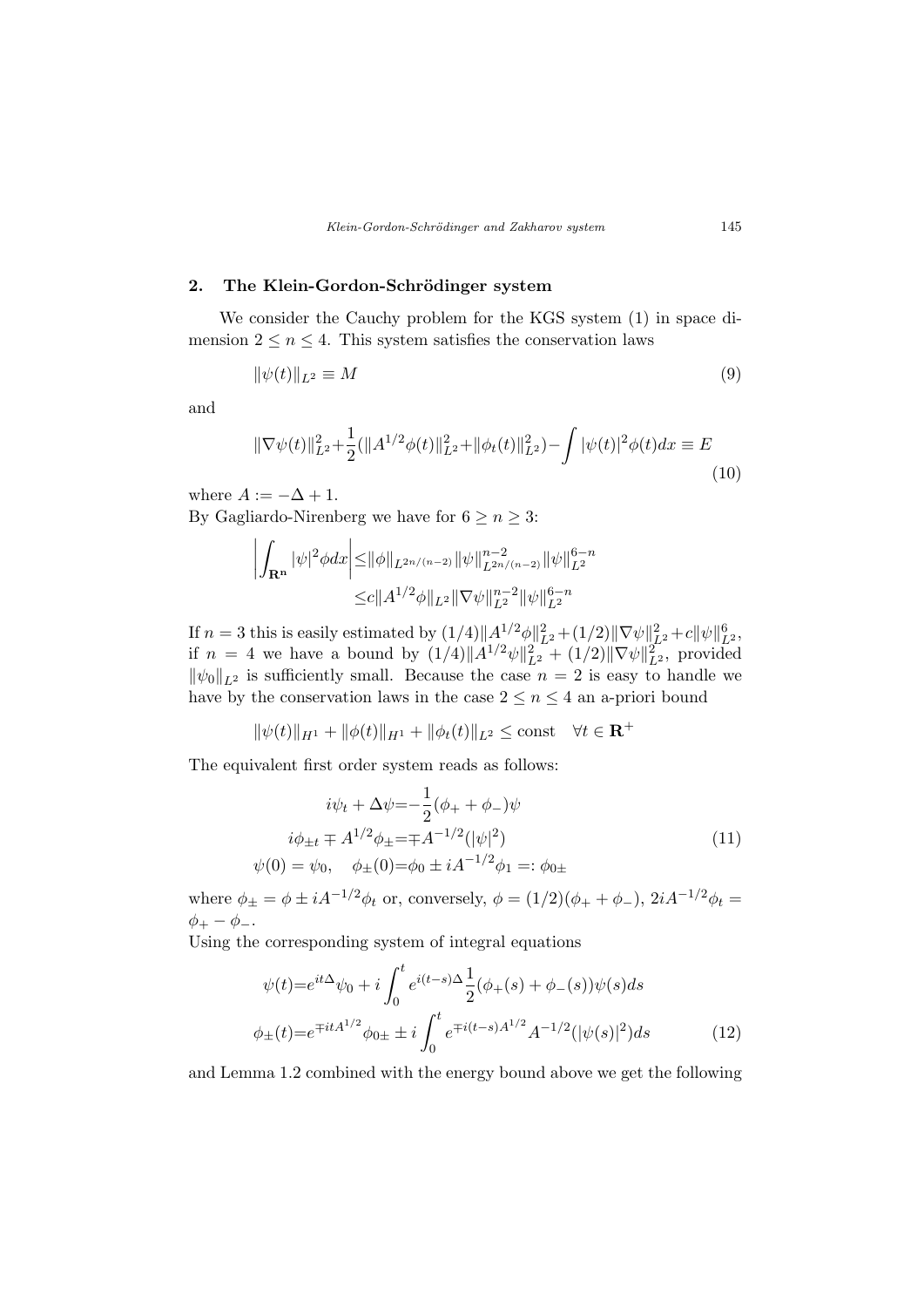### 2. The Klein-Gordon-Schrödinger system

We consider the Cauchy problem for the KGS system (1) in space dimension  $2 \leq n \leq 4$ . This system satisfies the conservation laws

$$
\|\psi(t)\|_{L^2} \equiv M\tag{9}
$$

and

$$
\|\nabla\psi(t)\|_{L^2}^2 + \frac{1}{2}(\|A^{1/2}\phi(t)\|_{L^2}^2 + \|\phi_t(t)\|_{L^2}^2) - \int |\psi(t)|^2 \phi(t) dx \equiv E
$$
\n(10)

where  $A := -\Delta + 1$ .

By Gagliardo-Nirenberg we have for  $6 \ge n \ge 3$ :

$$
\left| \int_{\mathbf{R}^n} |\psi|^2 \phi dx \right| \leq ||\phi||_{L^{2n/(n-2)}} ||\psi||_{L^{2n/(n-2)}}^{n-2} ||\psi||_{L^2}^{6-n}
$$
  

$$
\leq c ||A^{1/2}\phi||_{L^2} ||\nabla \psi||_{L^2}^{n-2} ||\psi||_{L^2}^{6-n}
$$

If  $n=3$  this is easily estimated by  $(1/4) \|\mathcal{A}^{1/2}\phi\|_{L^2}^2 + (1/2) \|\nabla \psi\|_{L^2}^2 + c \|\psi\|_{L^2}^6$ if  $n = 4$  we have a bound by  $(1/4) \| A^{1/2} \psi \|_{L^2}^2 + (1/2) \| \nabla \psi \|_{L^2}^2$ , provided  $\|\psi_0\|_{L^2}$  is sufficiently small. Because the case  $n = 2$  is easy to handle we have by the conservation laws in the case  $2 \leq n \leq 4$  an a-priori bound

$$
\|\psi(t)\|_{H^1} + \|\phi(t)\|_{H^1} + \|\phi_t(t)\|_{L^2} \le \text{const} \quad \forall t \in \mathbf{R}^+
$$

The equivalent first order system reads as follows:

$$
i\psi_t + \Delta \psi = -\frac{1}{2}(\phi_+ + \phi_-)\psi
$$
  
\n
$$
i\phi_{\pm t} \mp A^{1/2}\phi_{\pm} = \mp A^{-1/2}(|\psi|^2)
$$
  
\n
$$
\psi(0) = \psi_0, \quad \phi_{\pm}(0) = \phi_0 \pm iA^{-1/2}\phi_1 =: \phi_{0\pm}
$$
\n(11)

where  $\phi_{\pm} = \phi \pm i A^{-1/2} \phi_t$  or, conversely,  $\phi = (1/2)(\phi_+ + \phi_-)$ ,  $2iA^{-1/2} \phi_t =$  $\phi_+ - \phi_-.$ 

Using the corresponding system of integral equations

$$
\psi(t) = e^{it\Delta}\psi_0 + i \int_0^t e^{i(t-s)\Delta} \frac{1}{2} (\phi_+(s) + \phi_-(s))\psi(s)ds
$$
  

$$
\phi_{\pm}(t) = e^{\mp itA^{1/2}} \phi_{0\pm} \pm i \int_0^t e^{\mp i(t-s)A^{1/2}} A^{-1/2} (|\psi(s)|^2) ds
$$
 (12)

and Lemma 1.2 combined with the energy bound above we get the following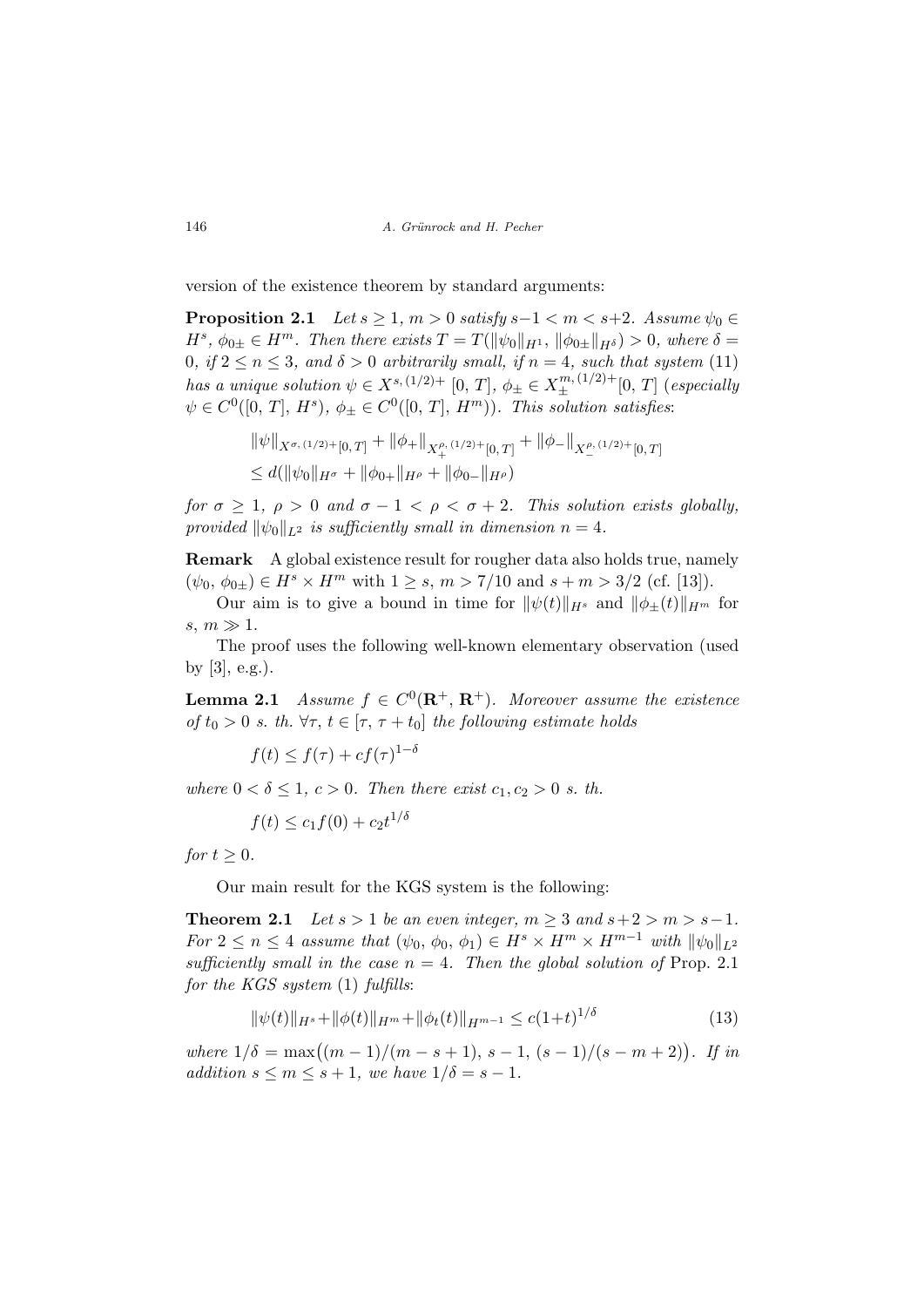version of the existence theorem by standard arguments:

**Proposition 2.1** Let  $s \geq 1$ ,  $m > 0$  satisfy  $s-1 < m < s+2$ . Assume  $\psi_0 \in$  $H^s$ ,  $\phi_{0\pm} \in H^m$ . Then there exists  $T = T(||\psi_0||_{H^1}, ||\phi_{0\pm}||_{H^{\delta}}) > 0$ , where  $\delta =$ 0, if  $2 \le n \le 3$ , and  $\delta > 0$  arbitrarily small, if  $n = 4$ , such that system (11) has a unique solution  $\psi \in X^{s,(1/2)+}$  [0, T],  $\phi_{\pm} \in X^{m,(1/2)+}_{\pm}$  [0, T] (especially  $\psi \in C^0([0, T], H^s), \, \phi_{\pm} \in C^0([0, T], H^m)).$  This solution satisfies:

$$
\|\psi\|_{X^{\sigma,(1/2)+}[0,T]} + \|\phi_+\|_{X_+^{\rho,(1/2)+}[0,T]} + \|\phi_-\|_{X_-^{\rho,(1/2)+}[0,T]}
$$
  

$$
\leq d(\|\psi_0\|_{H^{\sigma}} + \|\phi_{0+}\|_{H^{\rho}} + \|\phi_{0-}\|_{H^{\rho}})
$$

for  $\sigma \geq 1$ ,  $\rho > 0$  and  $\sigma - 1 < \rho < \sigma + 2$ . This solution exists globally, provided  $\|\psi_0\|_{L^2}$  is sufficiently small in dimension  $n = 4$ .

Remark A global existence result for rougher data also holds true, namely  $(\psi_0, \phi_{0\pm}) \in H^s \times H^m$  with  $1 \geq s, m > 7/10$  and  $s + m > 3/2$  (cf. [13]).

Our aim is to give a bound in time for  $\|\psi(t)\|_{H^s}$  and  $\|\phi_{\pm}(t)\|_{H^m}$  for  $s, m \gg 1.$ 

The proof uses the following well-known elementary observation (used by  $[3]$ , e.g.).

**Lemma 2.1** Assume  $f \in C^0(\mathbf{R}^+, \mathbf{R}^+)$ . Moreover assume the existence of  $t_0 > 0$  s. th.  $\forall \tau, t \in [\tau, \tau + t_0]$  the following estimate holds

$$
f(t) \le f(\tau) + cf(\tau)^{1-\delta}
$$

where  $0 < \delta \leq 1$ ,  $c > 0$ . Then there exist  $c_1, c_2 > 0$  s. th.

$$
f(t) \le c_1 f(0) + c_2 t^{1/\delta}
$$

for  $t \geq 0$ .

Our main result for the KGS system is the following:

**Theorem 2.1** Let  $s > 1$  be an even integer,  $m \geq 3$  and  $s + 2 > m > s - 1$ . For  $2 \leq n \leq 4$  assume that  $(\psi_0, \phi_0, \phi_1) \in H^s \times H^m \times H^{m-1}$  with  $\|\psi_0\|_{L^2}$ sufficiently small in the case  $n = 4$ . Then the global solution of Prop. 2.1 for the KGS system  $(1)$  fulfills:

$$
\|\psi(t)\|_{H^s} + \|\phi(t)\|_{H^m} + \|\phi_t(t)\|_{H^{m-1}} \le c(1+t)^{1/\delta} \tag{13}
$$

where  $1/\delta = \max((m-1)/(m-s+1), s-1, (s-1)/(s-m+2))$ . If in addition  $s \leq m \leq s+1$ , we have  $1/\delta = s-1$ .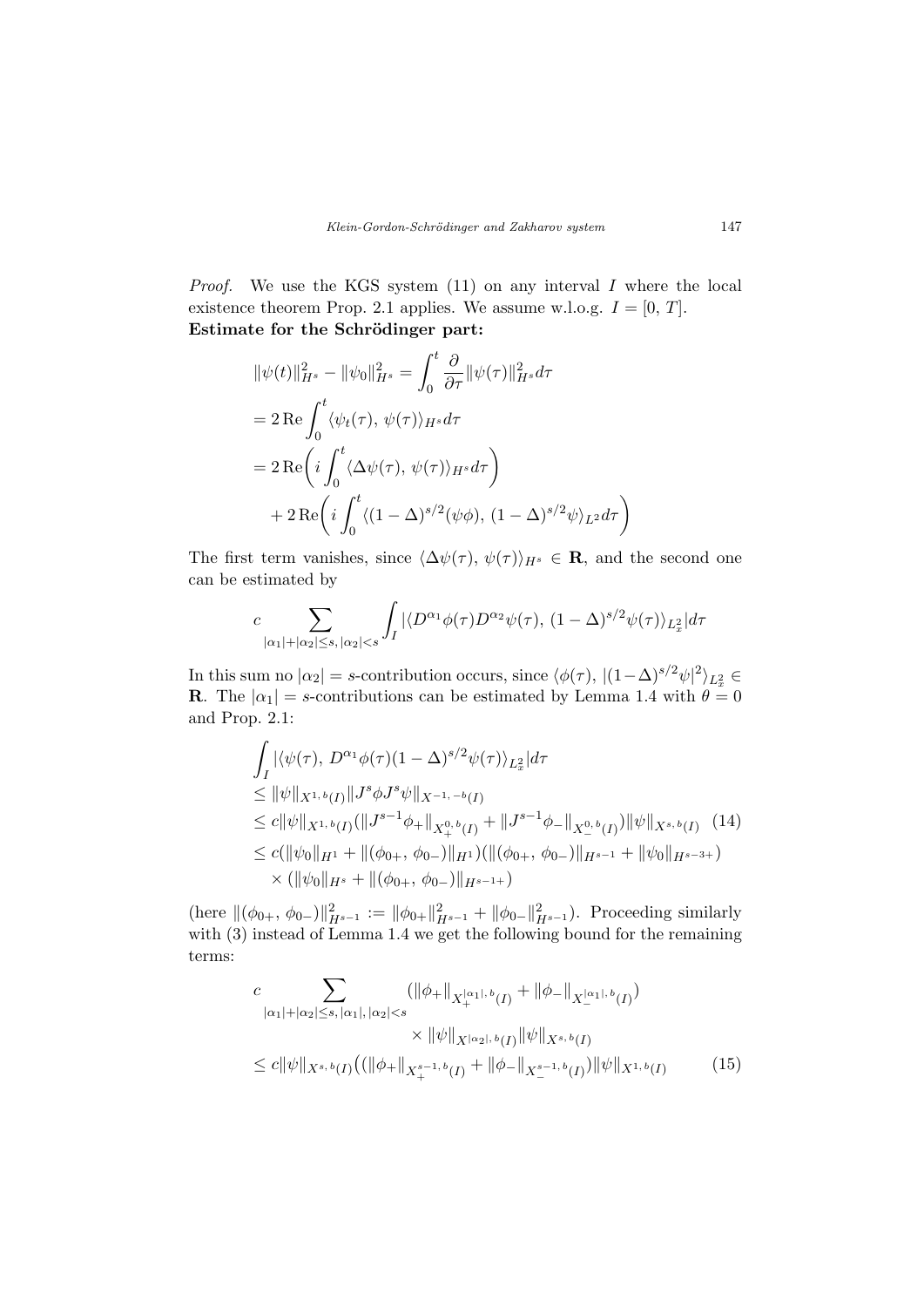*Proof.* We use the KGS system  $(11)$  on any interval I where the local existence theorem Prop. 2.1 applies. We assume w.l.o.g.  $I = [0, T]$ . Estimate for the Schrödinger part:

$$
\|\psi(t)\|_{H^s}^2 - \|\psi_0\|_{H^s}^2 = \int_0^t \frac{\partial}{\partial \tau} \|\psi(\tau)\|_{H^s}^2 d\tau
$$
  
=  $2 \text{Re} \int_0^t \langle \psi_t(\tau), \psi(\tau) \rangle_{H^s} d\tau$   
=  $2 \text{Re} \left( i \int_0^t \langle \Delta \psi(\tau), \psi(\tau) \rangle_{H^s} d\tau \right)$   
+  $2 \text{Re} \left( i \int_0^t \langle (1 - \Delta)^{s/2} (\psi \phi), (1 - \Delta)^{s/2} \psi \rangle_{L^2} d\tau \right)$ 

The first term vanishes, since  $\langle \Delta \psi(\tau), \psi(\tau) \rangle_{H^s} \in \mathbf{R}$ , and the second one can be estimated by

$$
c\sum_{|\alpha_1|+|\alpha_2|\leq s,\,|\alpha_2|
$$

In this sum no  $|\alpha_2| = s$ -contribution occurs, since  $\langle \phi(\tau), |(1-\Delta)^{s/2}\psi|^2 \rangle_{L_x^2} \in$ **R**. The  $|\alpha_1| = s$ -contributions can be estimated by Lemma 1.4 with  $\theta = 0$ and Prop. 2.1:

$$
\int_{I} |\langle \psi(\tau), D^{\alpha_1} \phi(\tau)(1-\Delta)^{s/2} \psi(\tau) \rangle_{L_x^2}| d\tau
$$
\n
$$
\leq \|\psi\|_{X^{1,b}(I)} \|J^s \phi J^s \psi\|_{X^{-1,-b}(I)}
$$
\n
$$
\leq c \|\psi\|_{X^{1,b}(I)} (\|J^{s-1} \phi_+\|_{X_+^{0,b}(I)} + \|J^{s-1} \phi_-\|_{X_-^{0,b}(I)}) \|\psi\|_{X^{s,b}(I)} \quad (14)
$$
\n
$$
\leq c (\|\psi_0\|_{H^1} + \|(\phi_{0+}, \phi_{0-})\|_{H^1}) (\|(\phi_{0+}, \phi_{0-})\|_{H^{s-1}} + \|\psi_0\|_{H^{s-3+}})
$$
\n
$$
\times (\|\psi_0\|_{H^s} + \|(\phi_{0+}, \phi_{0-})\|_{H^{s-1+}})
$$

(here  $\|(\phi_{0+}, \phi_{0-})\|_{H^{s-1}}^2 := \|\phi_{0+}\|_{H^{s-1}}^2 + \|\phi_{0-}\|_{H^{s-1}}^2$ ). Proceeding similarly with (3) instead of Lemma 1.4 we get the following bound for the remaining terms:

$$
c \sum_{|\alpha_{1}|+|\alpha_{2}| \leq s, |\alpha_{1}|, |\alpha_{2}| < s} (\|\phi_{+}\|_{X_{+}^{|\alpha_{1}|,b}(I)} + \|\phi_{-}\|_{X_{-}^{|\alpha_{1}|,b}(I)})
$$
  

$$
\times \|\psi\|_{X^{|\alpha_{2}|,b}(I)} \|\psi\|_{X^{s,b}(I)}
$$
  

$$
\leq c \|\psi\|_{X^{s,b}(I)} ((\|\phi_{+}\|_{X_{+}^{s-1,b}(I)} + \|\phi_{-}\|_{X_{-}^{s-1,b}(I)}) \|\psi\|_{X^{1,b}(I)}
$$
(15)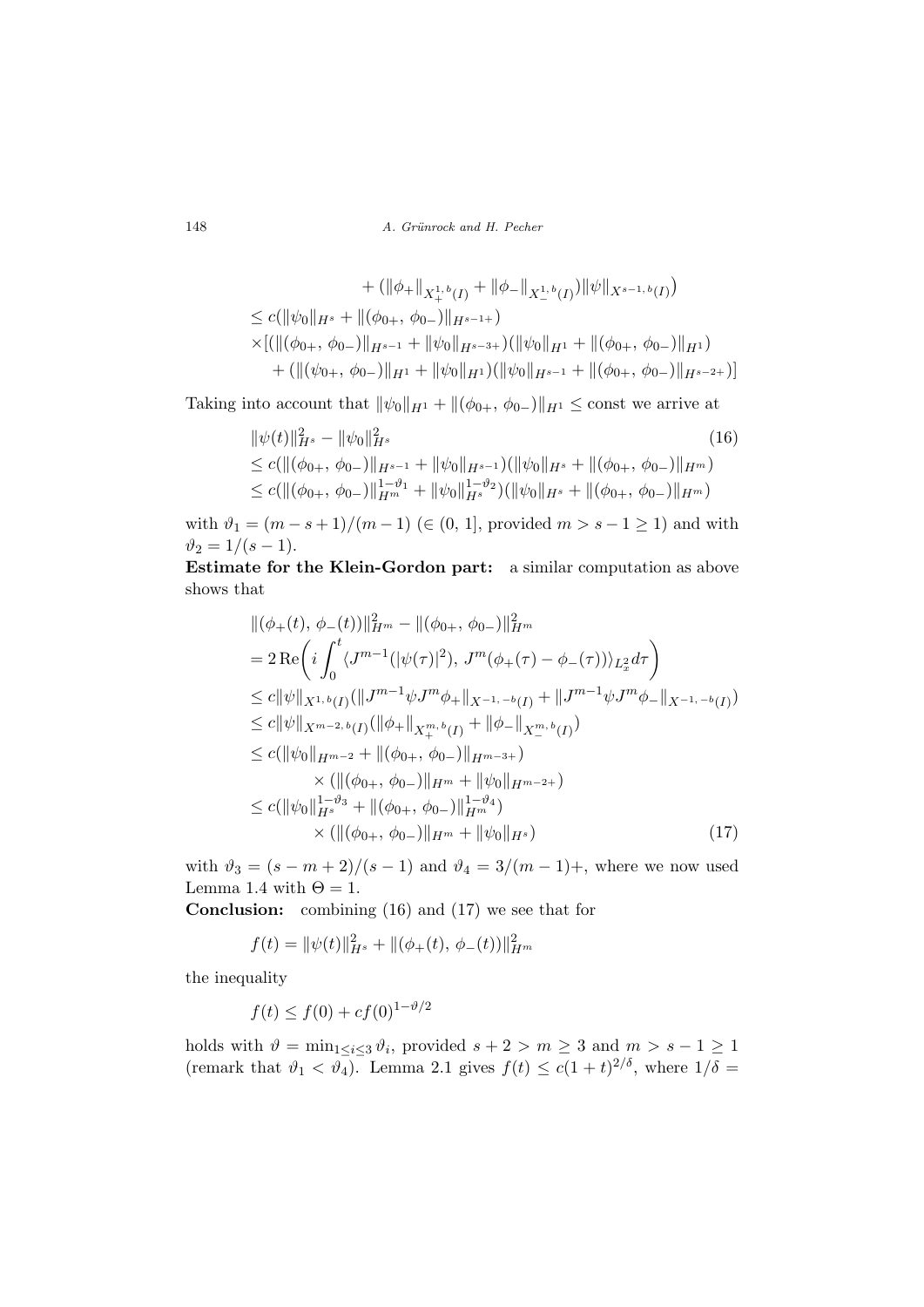148 A. Grünrock and H. Pecher

+ 
$$
(\|\phi_+\|_{X_+^{1,b}(I)} + \|\phi_-\|_{X_-^{1,b}(I)})\|\psi\|_{X^{s-1,b}(I)})
$$
  
\n $\leq c(\|\psi_0\|_{H^s} + \|(\phi_{0+}, \phi_{0-})\|_{H^{s-1+}})$   
\n $\times [(\|(\phi_{0+}, \phi_{0-})\|_{H^{s-1}} + \|\psi_0\|_{H^{s-3+}})(\|\psi_0\|_{H^1} + \|(\phi_{0+}, \phi_{0-})\|_{H^1})$   
\n+  $(\|(\psi_{0+}, \phi_{0-})\|_{H^1} + \|\psi_0\|_{H^1})(\|\psi_0\|_{H^{s-1}} + \|(\phi_{0+}, \phi_{0-})\|_{H^{s-2+}})]$ 

Taking into account that  $\|\psi_0\|_{H^1} + \|(\phi_{0+}, \phi_{0-})\|_{H^1} \le \text{const}$  we arrive at

$$
\begin{aligned} &\|\psi(t)\|_{H^s}^2 - \|\psi_0\|_{H^s}^2 & (16) \\ &\le c(\|(\phi_{0+}, \phi_{0-})\|_{H^{s-1}} + \|\psi_0\|_{H^{s-1}})(\|\psi_0\|_{H^s} + \|(\phi_{0+}, \phi_{0-})\|_{H^m}) \\ &\le c(\|(\phi_{0+}, \phi_{0-})\|_{H^m}^{1-\vartheta_1} + \|\psi_0\|_{H^s}^{1-\vartheta_2})(\|\psi_0\|_{H^s} + \|(\phi_{0+}, \phi_{0-})\|_{H^m}) \end{aligned}
$$

with  $\vartheta_1 = (m - s + 1)/(m - 1)$  ( $\in (0, 1]$ , provided  $m > s - 1 \ge 1$ ) and with  $\vartheta_2 = 1/(s - 1).$ 

Estimate for the Klein-Gordon part: a similar computation as above shows that

$$
\begin{split}\n&\|(\phi_{+}(t), \phi_{-}(t))\|_{H^{m}}^{2} - \|(\phi_{0+}, \phi_{0-})\|_{H^{m}}^{2} \\
&= 2 \operatorname{Re} \bigg(i \int_{0}^{t} \langle J^{m-1}(|\psi(\tau)|^{2}), J^{m}(\phi_{+}(\tau) - \phi_{-}(\tau))\rangle_{L_{x}^{2}} d\tau \bigg) \\
&\leq c \|\psi\|_{X^{1,b}(I)} (\|J^{m-1}\psi J^{m}\phi_{+}\|_{X^{-1,-b}(I)} + \|J^{m-1}\psi J^{m}\phi_{-}\|_{X^{-1,-b}(I)}) \\
&\leq c \|\psi\|_{X^{m-2,b}(I)} (\|\phi_{+}\|_{X_{+}^{m,b}(I)} + \|\phi_{-}\|_{X_{-}^{m,b}(I)}) \\
&\leq c (\|\psi_{0}\|_{H^{m-2}} + \|(\phi_{0+}, \phi_{0-})\|_{H^{m-3+}}) \\
&\times (\|(\phi_{0+}, \phi_{0-})\|_{H^{m}} + \|\psi_{0}\|_{H^{m-2+}}) \\
&\leq c (\|\psi_{0}\|_{H^{s}}^{1-\vartheta_{3}} + \|(\phi_{0+}, \phi_{0-})\|_{H^{m}}^{1-\vartheta_{4}}) \\
&\times (\|(\phi_{0+}, \phi_{0-})\|_{H^{m}} + \|\psi_{0}\|_{H^{s}})\n\end{split} \tag{17}
$$

with  $\vartheta_3 = (s - m + 2)/(s - 1)$  and  $\vartheta_4 = 3/(m - 1) +$ , where we now used Lemma 1.4 with  $\Theta = 1$ .

Conclusion: combining (16) and (17) we see that for

$$
f(t) = \|\psi(t)\|_{H^s}^2 + \|(\phi_+(t), \phi_-(t))\|_{H^m}^2
$$

the inequality

$$
f(t) \le f(0) + cf(0)^{1-\vartheta/2}
$$

holds with  $\vartheta = \min_{1 \leq i \leq 3} \vartheta_i$ , provided  $s + 2 > m \geq 3$  and  $m > s - 1 \geq 1$ (remark that  $\vartheta_1 < \vartheta_4$ ). Lemma 2.1 gives  $f(t) \leq c(1+t)^{2/\delta}$ , where  $1/\delta =$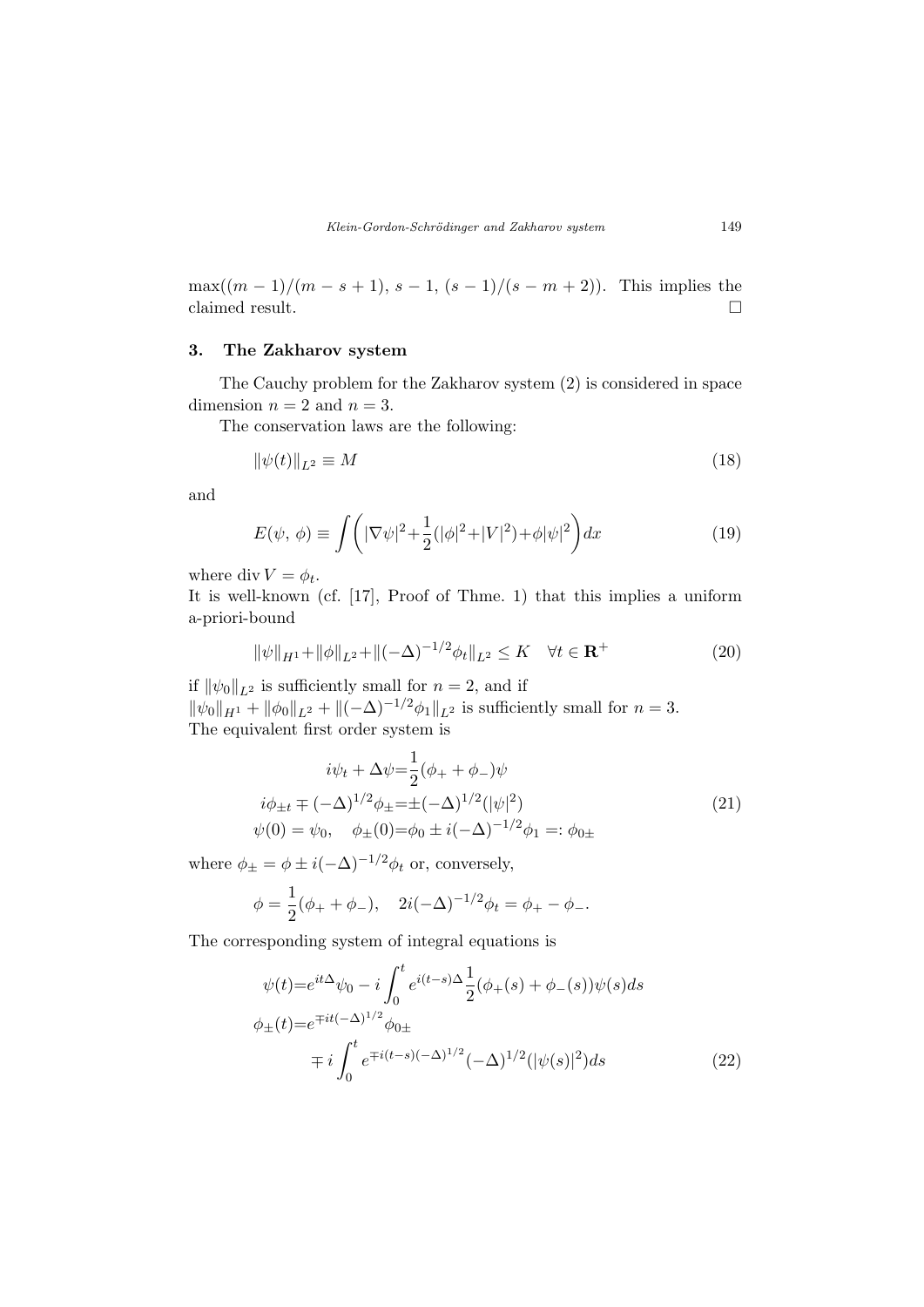$\max((m-1)/(m-s+1), s-1, (s-1)/(s-m+2)).$  This implies the claimed result.  $\hfill \square$ 

## 3. The Zakharov system

The Cauchy problem for the Zakharov system (2) is considered in space dimension  $n = 2$  and  $n = 3$ .

The conservation laws are the following:

$$
\|\psi(t)\|_{L^2} \equiv M\tag{18}
$$

and

$$
E(\psi, \phi) \equiv \int \left( |\nabla \psi|^2 + \frac{1}{2} (|\phi|^2 + |V|^2) + \phi |\psi|^2 \right) dx \tag{19}
$$

where div  $V = \phi_t$ .

It is well-known (cf. [17], Proof of Thme. 1) that this implies a uniform a-priori-bound

$$
\|\psi\|_{H^1} + \|\phi\|_{L^2} + \|(-\Delta)^{-1/2}\phi_t\|_{L^2} \le K \quad \forall t \in \mathbf{R}^+ \tag{20}
$$

if  $\|\psi_0\|_{L^2}$  is sufficiently small for  $n = 2$ , and if  $\|\psi_0\|_{H^1} + \|\phi_0\|_{L^2} + \|(-\Delta)^{-1/2}\phi_1\|_{L^2}$  is sufficiently small for  $n = 3$ . The equivalent first order system is

$$
i\psi_t + \Delta \psi = \frac{1}{2}(\phi_+ + \phi_-)\psi
$$
  
\n
$$
i\phi_{\pm t} \mp (-\Delta)^{1/2}\phi_{\pm} = \pm (-\Delta)^{1/2}(|\psi|^2)
$$
  
\n
$$
\psi(0) = \psi_0, \quad \phi_{\pm}(0) = \phi_0 \pm i(-\Delta)^{-1/2}\phi_1 =: \phi_{0\pm}
$$
\n(21)

where  $\phi_{\pm} = \phi \pm i(-\Delta)^{-1/2} \phi_t$  or, conversely,

$$
\phi = \frac{1}{2}(\phi_+ + \phi_-), \quad 2i(-\Delta)^{-1/2}\phi_t = \phi_+ - \phi_-.
$$

The corresponding system of integral equations is

$$
\psi(t) = e^{it\Delta}\psi_0 - i \int_0^t e^{i(t-s)\Delta} \frac{1}{2} (\phi_+(s) + \phi_-(s))\psi(s)ds
$$
  

$$
\phi_{\pm}(t) = e^{\mp it(-\Delta)^{1/2}} \phi_{0\pm}
$$
  

$$
\mp i \int_0^t e^{\mp i(t-s)(-\Delta)^{1/2}} (-\Delta)^{1/2} (|\psi(s)|^2) ds
$$
 (22)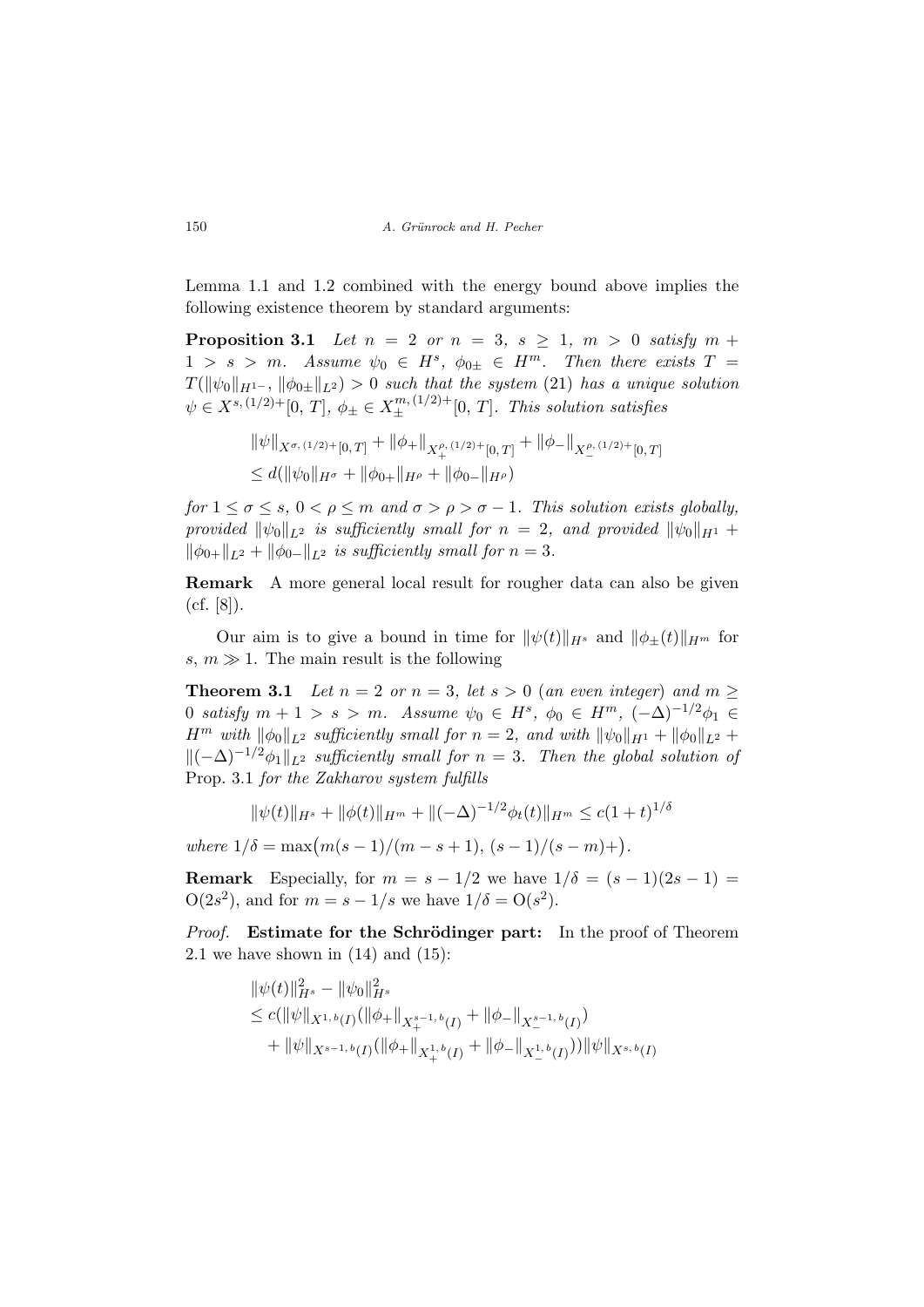Lemma 1.1 and 1.2 combined with the energy bound above implies the following existence theorem by standard arguments:

**Proposition 3.1** Let  $n = 2$  or  $n = 3$ ,  $s \ge 1$ ,  $m > 0$  satisfy  $m +$  $1 > s > m$ . Assume  $\psi_0 \in H^s$ ,  $\phi_{0\pm} \in H^m$ . Then there exists  $T =$  $T(\|\psi_0\|_{H^{1-}}, \|\phi_0\|_{L^2}) > 0$  such that the system (21) has a unique solution  $\psi \in X^{s, (1/2)+}[0, T], \ \phi_{\pm} \in X^{m, (1/2)+}_{\pm}[0, T].$  This solution satisfies

$$
\|\psi\|_{X^{\sigma,(1/2)+}[0,T]} + \|\phi_+\|_{X_+^{\rho,(1/2)+}[0,T]} + \|\phi_-\|_{X_-^{\rho,(1/2)+}[0,T]}
$$
  

$$
\leq d(\|\psi_0\|_{H^{\sigma}} + \|\phi_{0+}\|_{H^{\rho}} + \|\phi_{0-}\|_{H^{\rho}})
$$

for  $1 \leq \sigma \leq s$ ,  $0 < \rho \leq m$  and  $\sigma > \rho > \sigma - 1$ . This solution exists globally, provided  $\|\psi_0\|_{L^2}$  is sufficiently small for  $n = 2$ , and provided  $\|\psi_0\|_{H^1}$  +  $\|\phi_{0+}\|_{L^2} + \|\phi_{0-}\|_{L^2}$  is sufficiently small for  $n = 3$ .

Remark A more general local result for rougher data can also be given (cf. [8]).

Our aim is to give a bound in time for  $\|\psi(t)\|_{H^s}$  and  $\|\phi_+(t)\|_{H^m}$  for s,  $m \gg 1$ . The main result is the following

**Theorem 3.1** Let  $n = 2$  or  $n = 3$ , let  $s > 0$  (an even integer) and  $m \geq$ 0 satisfy  $m + 1 > s > m$ . Assume  $\psi_0 \in H^s$ ,  $\phi_0 \in H^m$ ,  $(-\Delta)^{-1/2} \phi_1 \in$  $H^m$  with  $\|\phi_0\|_{L^2}$  sufficiently small for  $n = 2$ , and with  $\|\psi_0\|_{H^1} + \|\phi_0\|_{L^2}$  +  $\|(-\Delta)^{-1/2}\phi_1\|_{L^2}$  sufficiently small for  $n = 3$ . Then the global solution of Prop. 3.1 for the Zakharov system fulfills

$$
\|\psi(t)\|_{H^s} + \|\phi(t)\|_{H^m} + \|(-\Delta)^{-1/2}\phi_t(t)\|_{H^m} \le c(1+t)^{1/\delta}
$$

where  $1/\delta = \max(m(s-1)/(m-s+1), (s-1)/(s-m)+)$ .

**Remark** Especially, for  $m = s - 1/2$  we have  $1/\delta = (s - 1)(2s - 1)$  $O(2s^2)$ , and for  $m = s - 1/s$  we have  $1/\delta = O(s^2)$ .

Proof. Estimate for the Schrödinger part: In the proof of Theorem 2.1 we have shown in  $(14)$  and  $(15)$ :

$$
\|\psi(t)\|_{H^s}^2 - \|\psi_0\|_{H^s}^2
$$
  
\n
$$
\leq c(\|\psi\|_{X^{1,b}(I)}(\|\phi_+\|_{X^{s-1,b}_{+}(I)} + \|\phi_-\|_{X^{s-1,b}_{-}(I)})
$$
  
\n
$$
+ \|\psi\|_{X^{s-1,b}(I)}(\|\phi_+\|_{X^{1,b}_{+}(I)} + \|\phi_-\|_{X^{1,b}_{-}(I)})) \|\psi\|_{X^{s,b}(I)}
$$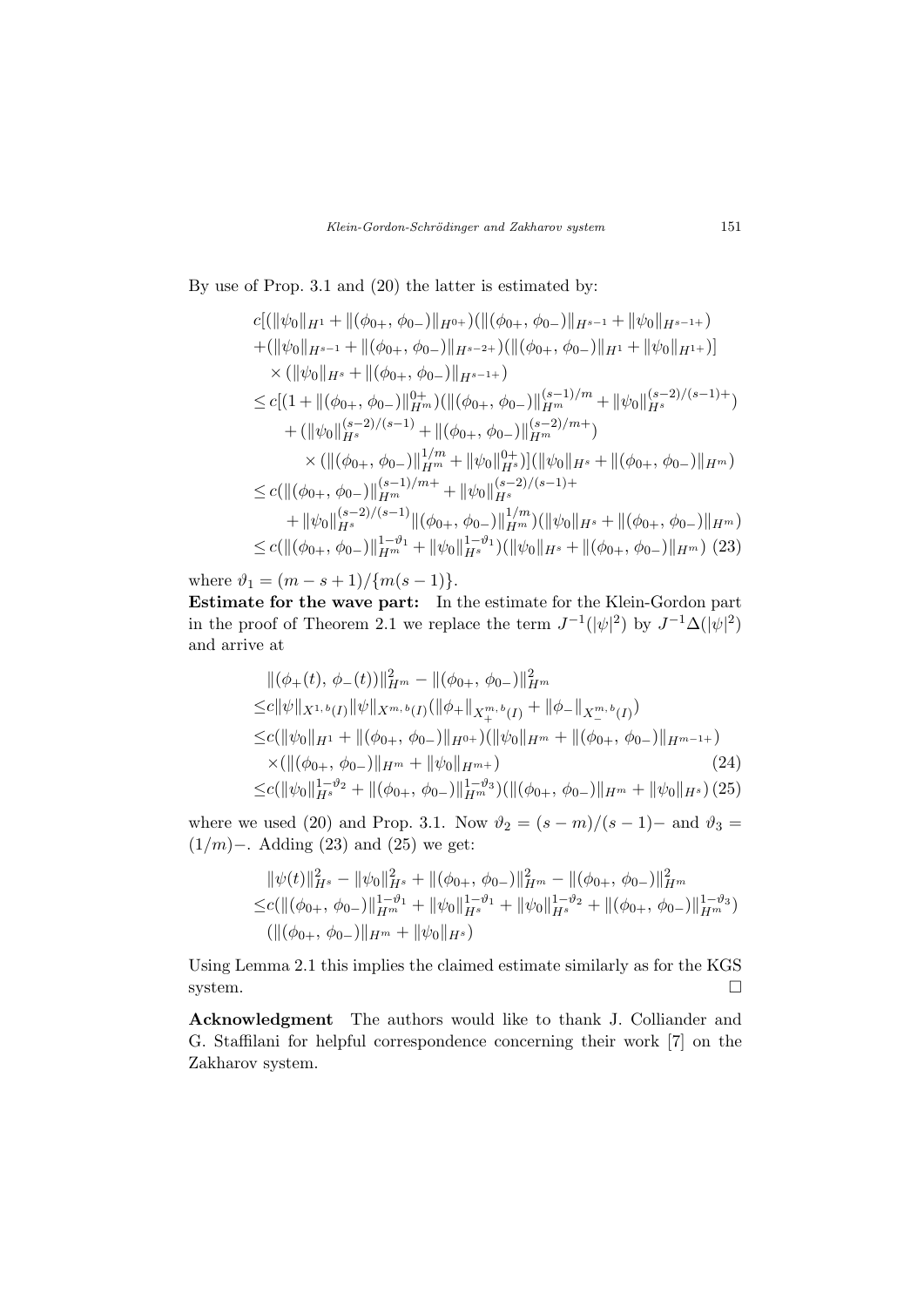By use of Prop. 3.1 and (20) the latter is estimated by:

$$
c[(\|\psi_0\|_{H^1} + \|(\phi_{0+}, \phi_{0-})\|_{H^{0+}})(\|(\phi_{0+}, \phi_{0-})\|_{H^{s-1}} + \|\psi_0\|_{H^{s-1+}})
$$
  
+ 
$$
(\|\psi_0\|_{H^{s-1}} + \|(\phi_{0+}, \phi_{0-})\|_{H^{s-2+}})(\|(\phi_{0+}, \phi_{0-})\|_{H^1} + \|\psi_0\|_{H^{1+}})]
$$
  

$$
\times (\|\psi_0\|_{H^s} + \|(\phi_{0+}, \phi_{0-})\|_{H^{s-1+}})
$$
  

$$
\leq c[(1 + \|(\phi_{0+}, \phi_{0-})\|_{H^m}^{0+}) (\|(\phi_{0+}, \phi_{0-})\|_{H^m}^{(s-1)/m} + \|\psi_0\|_{H^s}^{(s-2)/(s-1)+})
$$
  
+ 
$$
(\|\psi_0\|_{H^s}^{(s-2)/(s-1)} + \|(\phi_{0+}, \phi_{0-})\|_{H^m}^{(s-2)/m+})
$$
  

$$
\times (\|(\phi_{0+}, \phi_{0-})\|_{H^m}^{1/m} + \|\psi_0\|_{H^s}^{0+}) (\|\psi_0\|_{H^s} + \|(\phi_{0+}, \phi_{0-})\|_{H^m})
$$
  

$$
\leq c(\|(\phi_{0+}, \phi_{0-})\|_{H^m}^{(s-2)/(s-1)}\|(\phi_{0+}, \phi_{0-})\|_{H^s}^{1/m}) (\|\psi_0\|_{H^s} + \|(\phi_{0+}, \phi_{0-})\|_{H^m})
$$
  

$$
\leq c(\|(\phi_{0+}, \phi_{0-})\|_{H^m}^{1-\vartheta_1} + \|\psi_0\|_{H^s}^{1-\vartheta_1})(\|\psi_0\|_{H^s} + \|(\phi_{0+}, \phi_{0-})\|_{H^m})
$$
(23)

where  $\vartheta_1 = (m - s + 1)/\{m(s - 1)\}.$ 

Estimate for the wave part: In the estimate for the Klein-Gordon part in the proof of Theorem 2.1 we replace the term  $J^{-1}(|\psi|^2)$  by  $J^{-1}\Delta(|\psi|^2)$ and arrive at

$$
\begin{split}\n&\|(\phi_{+}(t),\,\phi_{-}(t))\|_{H^{m}}^{2} - \|(\phi_{0+},\,\phi_{0-})\|_{H^{m}}^{2} \\
\leq &c\|\psi\|_{X^{1,b}(I)}\|\psi\|_{X^{m,b}(I)}(\|\phi_{+}\|_{X_{+}^{m,b}(I)} + \|\phi_{-}\|_{X_{-}^{m,b}(I)}) \\
\leq &c(\|\psi_{0}\|_{H^{1}} + \|(\phi_{0+},\,\phi_{0-})\|_{H^{0+}})(\|\psi_{0}\|_{H^{m}} + \|(\phi_{0+},\,\phi_{0-})\|_{H^{m-1+}}) \\
&\times (\|(\phi_{0+},\,\phi_{0-})\|_{H^{m}} + \|\psi_{0}\|_{H^{m+}})\n\leq &c(\|\psi_{0}\|_{H^{s}}^{1-\vartheta_{2}} + \|(\phi_{0+},\,\phi_{0-})\|_{H^{m}}^{1-\vartheta_{3}})(\|(\phi_{0+},\,\phi_{0-})\|_{H^{m}} + \|\psi_{0}\|_{H^{s}}) (25)\n\end{split}
$$

where we used (20) and Prop. 3.1. Now  $\vartheta_2 = (s - m)/(s - 1)$  and  $\vartheta_3 =$ (1/m)−. Adding (23) and (25) we get:

$$
\|\psi(t)\|_{H^s}^2 - \|\psi_0\|_{H^s}^2 + \|(\phi_{0+}, \phi_{0-})\|_{H^m}^2 - \|(\phi_{0+}, \phi_{0-})\|_{H^m}^2
$$
  
\n
$$
\leq c \left( \|(\phi_{0+}, \phi_{0-})\|_{H^m}^{1-\vartheta_1} + \|\psi_0\|_{H^s}^{1-\vartheta_1} + \|\psi_0\|_{H^s}^{1-\vartheta_2} + \|(\phi_{0+}, \phi_{0-})\|_{H^m}^{1-\vartheta_3} \right)
$$
  
\n
$$
\left( \|(\phi_{0+}, \phi_{0-})\|_{H^m} + \|\psi_0\|_{H^s} \right)
$$

Using Lemma 2.1 this implies the claimed estimate similarly as for the KGS system.

Acknowledgment The authors would like to thank J. Colliander and G. Staffilani for helpful correspondence concerning their work [7] on the Zakharov system.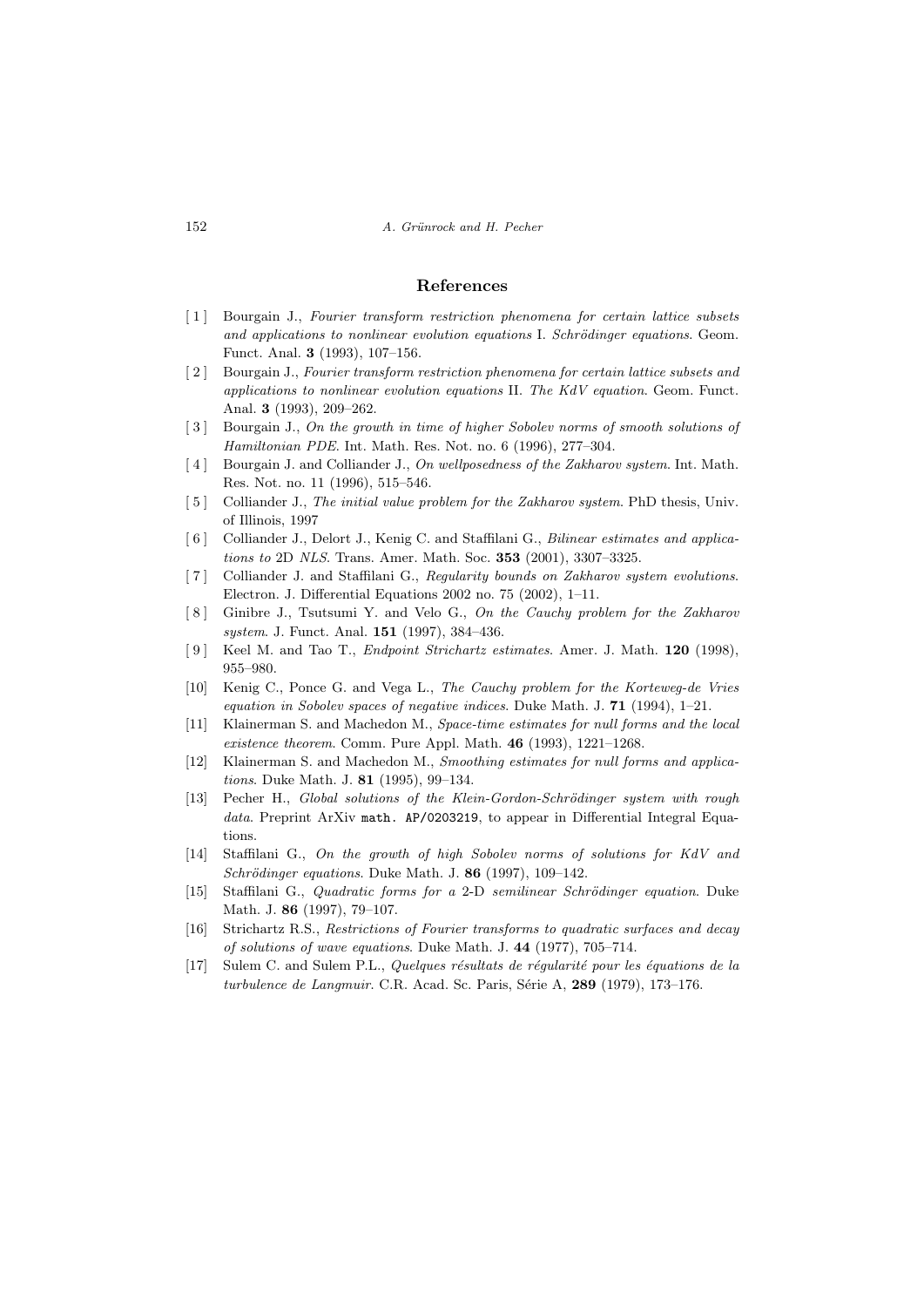### References

- [1] Bourgain J., Fourier transform restriction phenomena for certain lattice subsets and applications to nonlinear evolution equations I. Schrödinger equations. Geom. Funct. Anal. 3 (1993), 107–156.
- [2] Bourgain J., Fourier transform restriction phenomena for certain lattice subsets and applications to nonlinear evolution equations II. The KdV equation. Geom. Funct. Anal. 3 (1993), 209–262.
- [3] Bourgain J., On the growth in time of higher Sobolev norms of smooth solutions of Hamiltonian PDE. Int. Math. Res. Not. no. 6 (1996), 277–304.
- [4] Bourgain J. and Colliander J., On wellposedness of the Zakharov system. Int. Math. Res. Not. no. 11 (1996), 515–546.
- [5] Colliander J., The initial value problem for the Zakharov system. PhD thesis, Univ. of Illinois, 1997
- [ 6 ] Colliander J., Delort J., Kenig C. and Staffilani G., Bilinear estimates and applications to 2D NLS. Trans. Amer. Math. Soc. 353 (2001), 3307–3325.
- [7] Colliander J. and Staffilani G., Regularity bounds on Zakharov system evolutions. Electron. J. Differential Equations 2002 no. 75 (2002), 1–11.
- [8] Ginibre J., Tsutsumi Y. and Velo G., On the Cauchy problem for the Zakharov system. J. Funct. Anal. **151** (1997), 384-436.
- [9] Keel M. and Tao T., *Endpoint Strichartz estimates*. Amer. J. Math. 120 (1998), 955–980.
- [10] Kenig C., Ponce G. and Vega L., The Cauchy problem for the Korteweg-de Vries equation in Sobolev spaces of negative indices. Duke Math. J.  $71$  (1994), 1–21.
- [11] Klainerman S. and Machedon M., Space-time estimates for null forms and the local existence theorem. Comm. Pure Appl. Math. 46 (1993), 1221–1268.
- [12] Klainerman S. and Machedon M., Smoothing estimates for null forms and applications. Duke Math. J. 81 (1995), 99–134.
- [13] Pecher H., Global solutions of the Klein-Gordon-Schrödinger system with rough data. Preprint ArXiv math. AP/0203219, to appear in Differential Integral Equations.
- [14] Staffilani G., On the growth of high Sobolev norms of solutions for KdV and Schrödinger equations. Duke Math. J.  $86$  (1997), 109-142.
- [15] Staffilani G., Quadratic forms for a 2-D semilinear Schrödinger equation. Duke Math. J. 86 (1997), 79–107.
- [16] Strichartz R.S., Restrictions of Fourier transforms to quadratic surfaces and decay of solutions of wave equations. Duke Math. J. 44 (1977), 705–714.
- $[17]$  Sulem C. and Sulem P.L., Quelques résultats de régularité pour les équations de la turbulence de Langmuir. C.R. Acad. Sc. Paris, Série A,  $289$  (1979), 173–176.